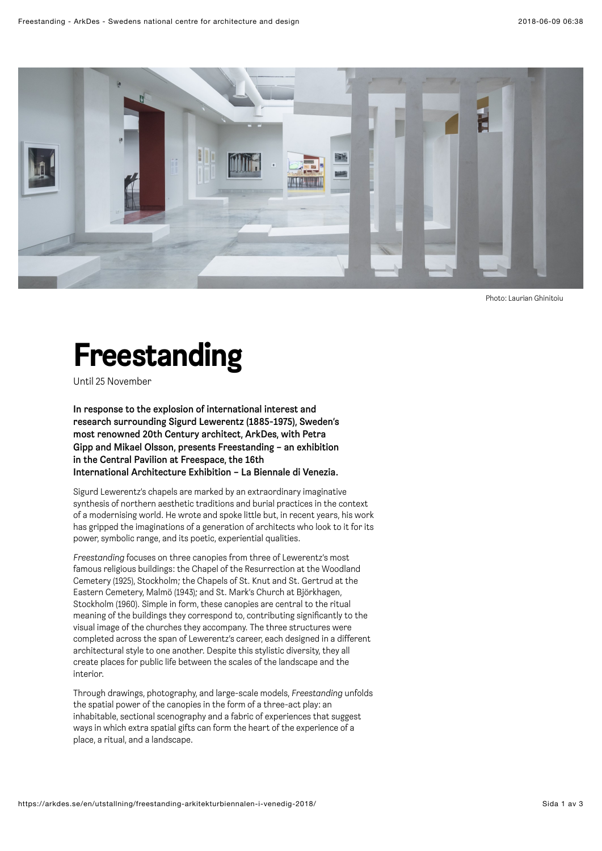

Photo: Laurian Ghinitoiu

## <span id="page-0-0"></span>Freestanding

Until 25 November

In response to the explosion of international interest and research surrounding Sigurd Lewerentz (1885-1975), Sweden's most renowned 20th Century architect, ArkDes, with Petra Gipp and Mikael Olsson, presents Freestanding – an exhibition in the Central Pavilion at Freespace, the 16th International Architecture Exhibition – La Biennale di Venezia.

Sigurd Lewerentz's chapels are marked by an extraordinary imaginative synthesis of northern aesthetic traditions and burial practices in the context of a modernising world. He wrote and spoke little but, in recent years, his work has gripped the imaginations of a generation of architects who look to it for its power, symbolic range, and its poetic, experiential qualities.

*Freestanding* focuses on three canopies from three of Lewerentz's most famous religious buildings: the Chapel of the Resurrection at the Woodland Cemetery (1925), Stockholm; the Chapels of St. Knut and St. Gertrud at the Eastern Cemetery, Malmö (1943); and St. Mark's Church at Björkhagen, Stockholm (1960). Simple in form, these canopies are central to the ritual meaning of the buildings they correspond to, contributing significantly to the visual image of the churches they accompany. The three structures were completed across the span of Lewerentz's career, each designed in a different architectural style to one another. Despite this stylistic diversity, they all create places for public life between the scales of the landscape and the interior.

Through drawings, photography, and large-scale models, *Freestanding* unfolds the spatial power of the canopies in the form of a three-act play: an inhabitable, sectional scenography and a fabric of experiences that suggest ways in which extra spatial gifts can form the heart of the experience of a place, a ritual, and a landscape.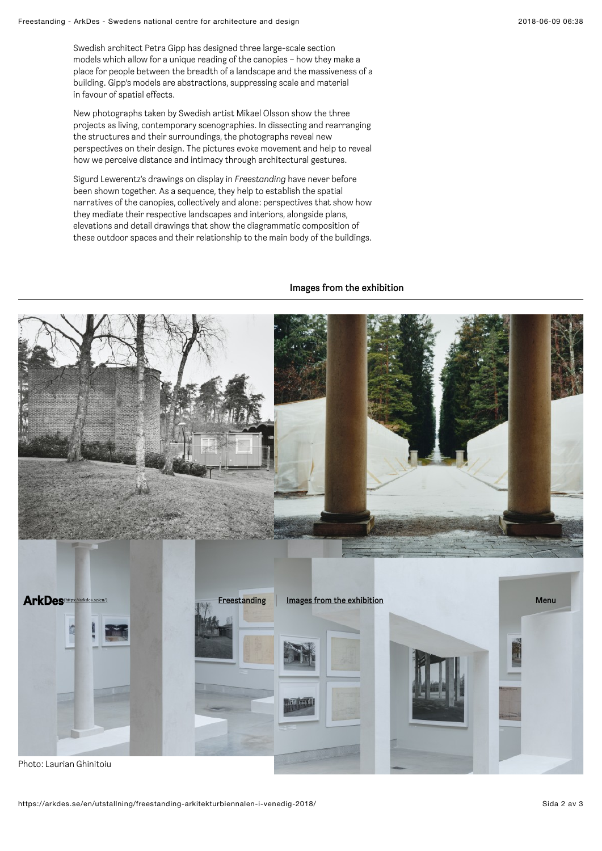Swedish architect Petra Gipp has designed three large-scale section models which allow for a unique reading of the canopies – how they make a place for people between the breadth of a landscape and the massiveness of a building. Gipp's models are abstractions, suppressing scale and material in favour of spatial effects.

New photographs taken by Swedish artist Mikael Olsson show the three projects as living, contemporary scenographies. In dissecting and rearranging the structures and their surroundings, the photographs reveal new perspectives on their design. The pictures evoke movement and help to reveal how we perceive distance and intimacy through architectural gestures.

Sigurd Lewerentz's drawings on display in *Freestanding* have never before been shown together. As a sequence, they help to establish the spatial narratives of the canopies, collectively and alone: perspectives that show how they mediate their respective landscapes and interiors, alongside plans, elevations and detail drawings that show the diagrammatic composition of these outdoor spaces and their relationship to the main body of the buildings.

## Images from the exhibition

<span id="page-1-0"></span>